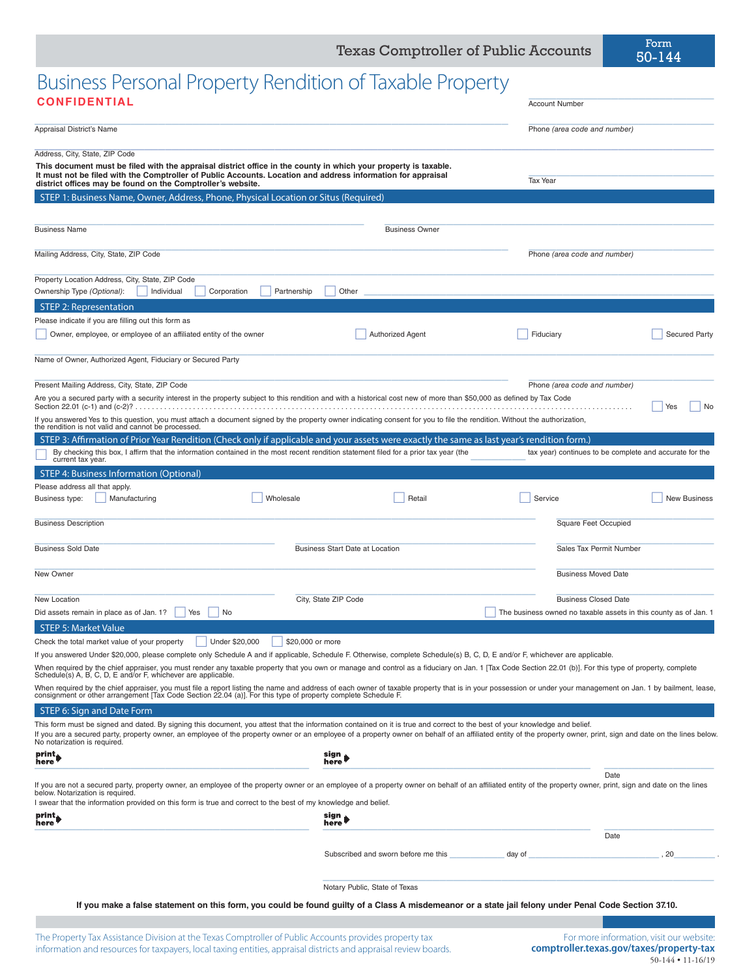# Business Personal Property Rendition of Taxable Property \_\_\_\_\_\_\_\_\_\_\_\_\_\_\_\_\_\_\_\_\_\_\_\_\_\_\_ **CONFIDENTIAL** Account Number

| <b>Account Number</b> |  |
|-----------------------|--|

| Appraisal District's Name                                                                                                                                                                                                                                                                                                                                                                                                                                                                                                                     |                                        | Phone (area code and number)                                     |                      |
|-----------------------------------------------------------------------------------------------------------------------------------------------------------------------------------------------------------------------------------------------------------------------------------------------------------------------------------------------------------------------------------------------------------------------------------------------------------------------------------------------------------------------------------------------|----------------------------------------|------------------------------------------------------------------|----------------------|
| Address, City, State, ZIP Code<br>This document must be filed with the appraisal district office in the county in which your property is taxable.<br>It must not be filed with the Comptroller of Public Accounts. Location and address information for appraisal<br>district offices may be found on the Comptroller's website.                                                                                                                                                                                                              |                                        | Tax Year                                                         |                      |
| STEP 1: Business Name, Owner, Address, Phone, Physical Location or Situs (Required)                                                                                                                                                                                                                                                                                                                                                                                                                                                           |                                        |                                                                  |                      |
| <b>Business Name</b>                                                                                                                                                                                                                                                                                                                                                                                                                                                                                                                          | <b>Business Owner</b>                  |                                                                  |                      |
| Mailing Address, City, State, ZIP Code                                                                                                                                                                                                                                                                                                                                                                                                                                                                                                        |                                        | Phone (area code and number)                                     |                      |
| Property Location Address, City, State, ZIP Code<br>Ownership Type (Optional):<br>Individual<br>Corporation                                                                                                                                                                                                                                                                                                                                                                                                                                   | Partnership<br>Other                   |                                                                  |                      |
| STEP 2: Representation                                                                                                                                                                                                                                                                                                                                                                                                                                                                                                                        |                                        |                                                                  |                      |
| Please indicate if you are filling out this form as                                                                                                                                                                                                                                                                                                                                                                                                                                                                                           |                                        |                                                                  |                      |
| Owner, employee, or employee of an affiliated entity of the owner                                                                                                                                                                                                                                                                                                                                                                                                                                                                             | <b>Authorized Agent</b>                | Fiduciary                                                        | <b>Secured Party</b> |
| Name of Owner, Authorized Agent, Fiduciary or Secured Party                                                                                                                                                                                                                                                                                                                                                                                                                                                                                   |                                        |                                                                  |                      |
| Present Mailing Address, City, State, ZIP Code<br>Are you a secured party with a security interest in the property subject to this rendition and with a historical cost new of more than \$50,000 as defined by Tax Code                                                                                                                                                                                                                                                                                                                      |                                        | Phone (area code and number)                                     | Yes<br>No            |
| If you answered Yes to this question, you must attach a document signed by the property owner indicating consent for you to file the rendition. Without the authorization,<br>the rendition is not valid and cannot be processed.<br>STEP 3: Affirmation of Prior Year Rendition (Check only if applicable and your assets were exactly the same as last year's rendition form.)<br>By checking this box, I affirm that the information contained in the most recent rendition statement filed for a prior tax year (the<br>current tax year. |                                        | tax year) continues to be complete and accurate for the          |                      |
| STEP 4: Business Information (Optional)                                                                                                                                                                                                                                                                                                                                                                                                                                                                                                       |                                        |                                                                  |                      |
| Please address all that apply.                                                                                                                                                                                                                                                                                                                                                                                                                                                                                                                |                                        |                                                                  |                      |
| Business type:<br>Manufacturing<br>Wholesale                                                                                                                                                                                                                                                                                                                                                                                                                                                                                                  | Retail                                 | Service                                                          | <b>New Business</b>  |
| <b>Business Description</b>                                                                                                                                                                                                                                                                                                                                                                                                                                                                                                                   |                                        | <b>Square Feet Occupied</b>                                      |                      |
| <b>Business Sold Date</b>                                                                                                                                                                                                                                                                                                                                                                                                                                                                                                                     | <b>Business Start Date at Location</b> | Sales Tax Permit Number                                          |                      |
| New Owner                                                                                                                                                                                                                                                                                                                                                                                                                                                                                                                                     |                                        | <b>Business Moved Date</b>                                       |                      |
| New Location                                                                                                                                                                                                                                                                                                                                                                                                                                                                                                                                  | City, State ZIP Code                   | <b>Business Closed Date</b>                                      |                      |
| Did assets remain in place as of Jan. 1?<br>Yes<br>No                                                                                                                                                                                                                                                                                                                                                                                                                                                                                         |                                        | The business owned no taxable assets in this county as of Jan. 1 |                      |
| <b>STEP 5: Market Value</b>                                                                                                                                                                                                                                                                                                                                                                                                                                                                                                                   |                                        |                                                                  |                      |
| Under \$20,000<br>Check the total market value of your property                                                                                                                                                                                                                                                                                                                                                                                                                                                                               | \$20,000 or more                       |                                                                  |                      |
| If you answered Under \$20,000, please complete only Schedule A and if applicable, Schedule F. Otherwise, complete Schedule(s) B, C, D, E and/or F, whichever are applicable.<br>When required by the chief appraiser, you must render any taxable property that you own or manage and control as a fiduciary on Jan. 1 [Tax Code Section 22.01 (b)]. For this type of property, complete<br>Schedule(s) A, B, C, D, E and/or F, whichever are applicable.                                                                                    |                                        |                                                                  |                      |
| When required by the chief appraiser, you must file a report listing the name and address of each owner of taxable property that is in your possession or under your management on Jan. 1 by bailment, lease,<br>consignment or other arrangement [Tax Code Section 22.04 (a)]. For this type of property complete Schedule F.                                                                                                                                                                                                                |                                        |                                                                  |                      |
| STEP 6: Sign and Date Form                                                                                                                                                                                                                                                                                                                                                                                                                                                                                                                    |                                        |                                                                  |                      |
| This form must be signed and dated. By signing this document, you attest that the information contained on it is true and correct to the best of your knowledge and belief.<br>If you are a secured party, property owner, an employee of the property owner or an employee of a property owner on behalf of an affiliated entity of the property owner, print, sign and date on the lines below.<br>No notarization is required.                                                                                                             |                                        |                                                                  |                      |
| print<br>here                                                                                                                                                                                                                                                                                                                                                                                                                                                                                                                                 | sign<br>here'                          |                                                                  |                      |
| If you are not a secured party, property owner, an employee of the property owner or an employee of a property owner on behalf of an affiliated entity of the property owner, print, sign and date on the lines<br>below. Notarization is required.                                                                                                                                                                                                                                                                                           |                                        | Date                                                             |                      |
| I swear that the information provided on this form is true and correct to the best of my knowledge and belief.                                                                                                                                                                                                                                                                                                                                                                                                                                |                                        |                                                                  |                      |
| print <sub>.</sub><br>here                                                                                                                                                                                                                                                                                                                                                                                                                                                                                                                    | sign<br>here                           | Date                                                             |                      |
|                                                                                                                                                                                                                                                                                                                                                                                                                                                                                                                                               | Subscribed and sworn before me this    | day of                                                           | 20                   |
|                                                                                                                                                                                                                                                                                                                                                                                                                                                                                                                                               |                                        |                                                                  |                      |
|                                                                                                                                                                                                                                                                                                                                                                                                                                                                                                                                               | Notary Public, State of Texas          |                                                                  |                      |
| If you make a false statement on this form, you could be found guilty of a Class A misdemeanor or a state jail felony under Penal Code Section 37.10.                                                                                                                                                                                                                                                                                                                                                                                         |                                        |                                                                  |                      |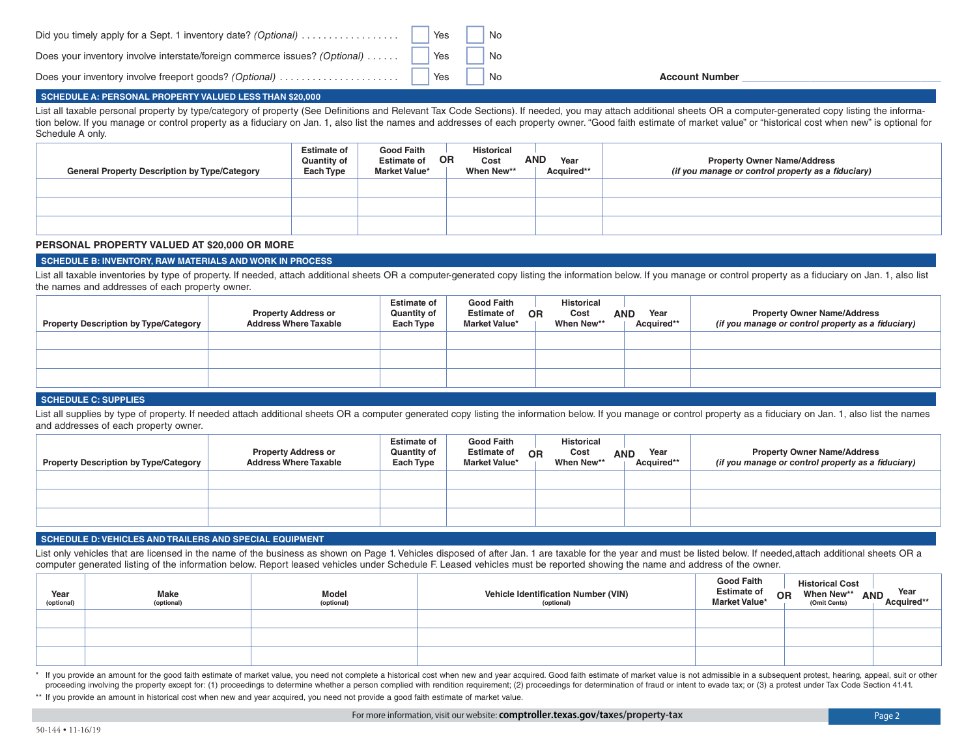|  |  |  |  |  |  |  | Did you timely apply for a Sept. 1 inventory date? (Optional) $\ldots \ldots \ldots \ldots$ |
|--|--|--|--|--|--|--|---------------------------------------------------------------------------------------------|
|--|--|--|--|--|--|--|---------------------------------------------------------------------------------------------|

Does your inventory involve interstate/foreign commerce issues? (Optional)

Does your inventory involve freeport goods? *(Optional)* . .

No **Account Number** \_\_\_\_\_\_\_\_\_\_\_\_\_\_\_\_\_\_\_\_\_\_\_\_\_\_\_\_\_

#### **SCHEDULE A: PERSONAL PROPERTY VALUED LESS THAN \$20,000**

List all taxable personal property by type/category of property (See Definitions and Relevant Tax Code Sections). If needed, you may attach additional sheets OR a computer-generated copy listing the information below. If you manage or control property as a fiduciary on Jan. 1, also list the names and addresses of each property owner. "Good faith estimate of market value" or "historical cost when new" is optional for Schedule A only.

 No No

 Yes Yes Yes

| <b>General Property Description by Type/Category</b> | <b>Estimate of</b><br>Quantity of<br>Each Type | <b>Good Faith</b><br>OR.<br><b>Estimate of</b><br><b>Market Value*</b> | <b>Historical</b><br>Cost<br>When New** | <b>AND</b><br>Year<br>Acquired** | <b>Property Owner Name/Address</b><br>(if you manage or control property as a fiduciary) |
|------------------------------------------------------|------------------------------------------------|------------------------------------------------------------------------|-----------------------------------------|----------------------------------|------------------------------------------------------------------------------------------|
|                                                      |                                                |                                                                        |                                         |                                  |                                                                                          |
|                                                      |                                                |                                                                        |                                         |                                  |                                                                                          |
|                                                      |                                                |                                                                        |                                         |                                  |                                                                                          |

#### **PERSONAL PROPERTY VALUED AT \$20,000 OR MORE**

### **SCHEDULE B: INVENTORY, RAW MATERIALS AND WORK IN PROCESS**

List all taxable inventories by type of property. If needed, attach additional sheets OR a computer-generated copy listing the information below. If you manage or control property as a fiduciary on Jan. 1, also list the names and addresses of each property owner.

| <b>Property Description by Type/Category</b> | <b>Property Address or</b><br><b>Address Where Taxable</b> | <b>Estimate of</b><br><b>Quantity of</b><br>Each Type | <b>Good Faith</b><br><b>Estimate of</b><br><b>Market Value*</b> | <b>Historical</b><br>Cost<br><b>OR</b><br>When New** | Year<br><b>AND</b><br>Acquired** | <b>Property Owner Name/Address</b><br>(if you manage or control property as a fiduciary) |
|----------------------------------------------|------------------------------------------------------------|-------------------------------------------------------|-----------------------------------------------------------------|------------------------------------------------------|----------------------------------|------------------------------------------------------------------------------------------|
|                                              |                                                            |                                                       |                                                                 |                                                      |                                  |                                                                                          |
|                                              |                                                            |                                                       |                                                                 |                                                      |                                  |                                                                                          |
|                                              |                                                            |                                                       |                                                                 |                                                      |                                  |                                                                                          |

#### **SCHEDULE C: SUPPLIES**

List all supplies by type of property. If needed attach additional sheets OR a computer generated copy listing the information below. If you manage or control property as a fiduciary on Jan. 1, also list the names and addresses of each property owner.

| <b>Property Description by Type/Category</b> | <b>Property Address or</b><br><b>Address Where Taxable</b> | <b>Estimate of</b><br><b>Quantity of</b><br>Each Type | <b>Good Faith</b><br><b>Estimate of</b><br>Market Value* | OR | Historical<br>Cost<br>When New** | Year<br><b>AND</b><br>Acquired** | <b>Property Owner Name/Address</b><br>(if you manage or control property as a fiduciary) |
|----------------------------------------------|------------------------------------------------------------|-------------------------------------------------------|----------------------------------------------------------|----|----------------------------------|----------------------------------|------------------------------------------------------------------------------------------|
|                                              |                                                            |                                                       |                                                          |    |                                  |                                  |                                                                                          |
|                                              |                                                            |                                                       |                                                          |    |                                  |                                  |                                                                                          |
|                                              |                                                            |                                                       |                                                          |    |                                  |                                  |                                                                                          |

#### **SCHEDULE D: VEHICLES AND TRAILERS AND SPECIAL EQUIPMENT**

List only vehicles that are licensed in the name of the business as shown on Page 1. Vehicles disposed of after Jan. 1 are taxable for the year and must be listed below. If needed,attach additional sheets OR a computer generated listing of the information below. Report leased vehicles under Schedule F. Leased vehicles must be reported showing the name and address of the owner.

| Year<br>(optional) | <b>Make</b><br>(optional) | <b>Model</b><br>(optional) | Vehicle Identification Number (VIN)<br>(optional) | <b>Good Faith</b><br><b>Estimate of</b><br><b>OR</b><br><b>Market Value*</b> | <b>Historical Cost</b><br>When New**<br>(Omit Cents) | Year<br>Acquired**<br><b>AND</b> |
|--------------------|---------------------------|----------------------------|---------------------------------------------------|------------------------------------------------------------------------------|------------------------------------------------------|----------------------------------|
|                    |                           |                            |                                                   |                                                                              |                                                      |                                  |
|                    |                           |                            |                                                   |                                                                              |                                                      |                                  |
|                    |                           |                            |                                                   |                                                                              |                                                      |                                  |

\* If you provide an amount for the good faith estimate of market value, you need not complete a historical cost when new and year acquired. Good faith estimate of market value is not admissible in a subsequent protest, hea proceeding involving the property except for: (1) proceedings to determine whether a person complied with rendition requirement; (2) proceedings for determination of fraud or intent to evade tax; or (3) a protest under Tax

\*\* If you provide an amount in historical cost when new and year acquired, you need not provide a good faith estimate of market value.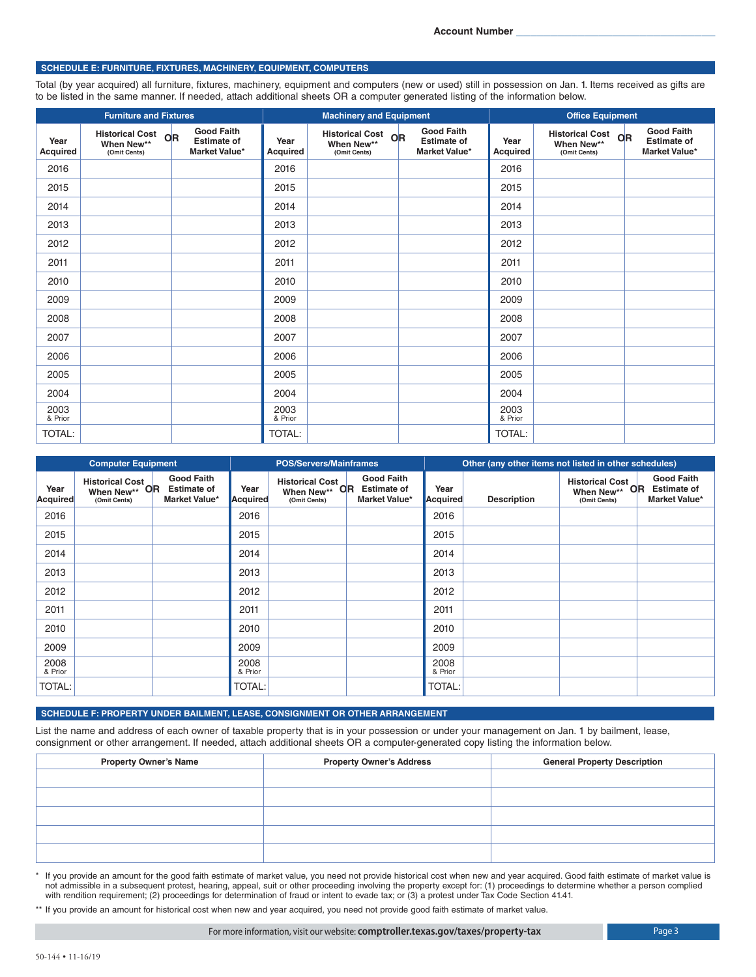#### **SCHEDULE E: FURNITURE, FIXTURES, MACHINERY, EQUIPMENT, COMPUTERS**

Total (by year acquired) all furniture, fixtures, machinery, equipment and computers (new or used) still in possession on Jan. 1. Items received as gifts are to be listed in the same manner. If needed, attach additional sheets OR a computer generated listing of the information below.

|                         | <b>Furniture and Fixtures</b>                    |                                                          | <b>Machinery and Equipment</b> |                                                  |                                                          | <b>Office Equipment</b> |                                                  |                                                          |
|-------------------------|--------------------------------------------------|----------------------------------------------------------|--------------------------------|--------------------------------------------------|----------------------------------------------------------|-------------------------|--------------------------------------------------|----------------------------------------------------------|
| Year<br><b>Acquired</b> | Historical Cost OR<br>When New**<br>(Omit Cents) | <b>Good Faith</b><br><b>Estimate of</b><br>Market Value* | Year<br><b>Acquired</b>        | Historical Cost OR<br>When New**<br>(Omit Cents) | <b>Good Faith</b><br><b>Estimate of</b><br>Market Value* | Year<br>Acquired        | Historical Cost OR<br>When New**<br>(Omit Cents) | <b>Good Faith</b><br><b>Estimate of</b><br>Market Value* |
| 2016                    |                                                  |                                                          | 2016                           |                                                  |                                                          | 2016                    |                                                  |                                                          |
| 2015                    |                                                  |                                                          | 2015                           |                                                  |                                                          | 2015                    |                                                  |                                                          |
| 2014                    |                                                  |                                                          | 2014                           |                                                  |                                                          | 2014                    |                                                  |                                                          |
| 2013                    |                                                  |                                                          | 2013                           |                                                  |                                                          | 2013                    |                                                  |                                                          |
| 2012                    |                                                  |                                                          | 2012                           |                                                  |                                                          | 2012                    |                                                  |                                                          |
| 2011                    |                                                  |                                                          | 2011                           |                                                  |                                                          | 2011                    |                                                  |                                                          |
| 2010                    |                                                  |                                                          | 2010                           |                                                  |                                                          | 2010                    |                                                  |                                                          |
| 2009                    |                                                  |                                                          | 2009                           |                                                  |                                                          | 2009                    |                                                  |                                                          |
| 2008                    |                                                  |                                                          | 2008                           |                                                  |                                                          | 2008                    |                                                  |                                                          |
| 2007                    |                                                  |                                                          | 2007                           |                                                  |                                                          | 2007                    |                                                  |                                                          |
| 2006                    |                                                  |                                                          | 2006                           |                                                  |                                                          | 2006                    |                                                  |                                                          |
| 2005                    |                                                  |                                                          | 2005                           |                                                  |                                                          | 2005                    |                                                  |                                                          |
| 2004                    |                                                  |                                                          | 2004                           |                                                  |                                                          | 2004                    |                                                  |                                                          |
| 2003<br>& Prior         |                                                  |                                                          | 2003<br>& Prior                |                                                  |                                                          | 2003<br>& Prior         |                                                  |                                                          |
| TOTAL:                  |                                                  |                                                          | TOTAL:                         |                                                  |                                                          | <b>TOTAL:</b>           |                                                  |                                                          |

| <b>Computer Equipment</b> |                                                         |                                                                 |                  | <b>POS/Servers/Mainframes</b>                              |                                                                 | Other (any other items not listed in other schedules) |                    |                                                         |                                                          |
|---------------------------|---------------------------------------------------------|-----------------------------------------------------------------|------------------|------------------------------------------------------------|-----------------------------------------------------------------|-------------------------------------------------------|--------------------|---------------------------------------------------------|----------------------------------------------------------|
| Year<br>Acquired          | <b>Historical Cost</b><br>When New** OR<br>(Omit Cents) | <b>Good Faith</b><br><b>Estimate of</b><br><b>Market Value*</b> | Year<br>Acquired | <b>Historical Cost</b><br>OR<br>When New**<br>(Omit Cents) | <b>Good Faith</b><br><b>Estimate of</b><br><b>Market Value*</b> | Year<br>Acquired                                      | <b>Description</b> | <b>Historical Cost</b><br>When New** OR<br>(Omit Cents) | <b>Good Faith</b><br><b>Estimate of</b><br>Market Value* |
| 2016                      |                                                         |                                                                 | 2016             |                                                            |                                                                 | 2016                                                  |                    |                                                         |                                                          |
| 2015                      |                                                         |                                                                 | 2015             |                                                            |                                                                 | 2015                                                  |                    |                                                         |                                                          |
| 2014                      |                                                         |                                                                 | 2014             |                                                            |                                                                 | 2014                                                  |                    |                                                         |                                                          |
| 2013                      |                                                         |                                                                 | 2013             |                                                            |                                                                 | 2013                                                  |                    |                                                         |                                                          |
| 2012                      |                                                         |                                                                 | 2012             |                                                            |                                                                 | 2012                                                  |                    |                                                         |                                                          |
| 2011                      |                                                         |                                                                 | 2011             |                                                            |                                                                 | 2011                                                  |                    |                                                         |                                                          |
| 2010                      |                                                         |                                                                 | 2010             |                                                            |                                                                 | 2010                                                  |                    |                                                         |                                                          |
| 2009                      |                                                         |                                                                 | 2009             |                                                            |                                                                 | 2009                                                  |                    |                                                         |                                                          |
| 2008<br>& Prior           |                                                         |                                                                 | 2008<br>& Prior  |                                                            |                                                                 | 2008<br>& Prior                                       |                    |                                                         |                                                          |
| TOTAL:                    |                                                         |                                                                 | <b>TOTAL:</b>    |                                                            |                                                                 | <b>TOTAL:</b>                                         |                    |                                                         |                                                          |

#### **SCHEDULE F: PROPERTY UNDER BAILMENT, LEASE, CONSIGNMENT OR OTHER ARRANGEMENT**

List the name and address of each owner of taxable property that is in your possession or under your management on Jan. 1 by bailment, lease, consignment or other arrangement. If needed, attach additional sheets OR a computer-generated copy listing the information below.

| <b>Property Owner's Name</b> | <b>Property Owner's Address</b> | <b>General Property Description</b> |
|------------------------------|---------------------------------|-------------------------------------|
|                              |                                 |                                     |
|                              |                                 |                                     |
|                              |                                 |                                     |
|                              |                                 |                                     |
|                              |                                 |                                     |

\* If you provide an amount for the good faith estimate of market value, you need not provide historical cost when new and year acquired. Good faith estimate of market value is not admissible in a subsequent protest, hearing, appeal, suit or other proceeding involving the property except for: (1) proceedings to determine whether a person complied with rendition requirement; (2) proceedings for determination of fraud or intent to evade tax; or (3) a protest under Tax Code Section 41.41.

\*\* If you provide an amount for historical cost when new and year acquired, you need not provide good faith estimate of market value.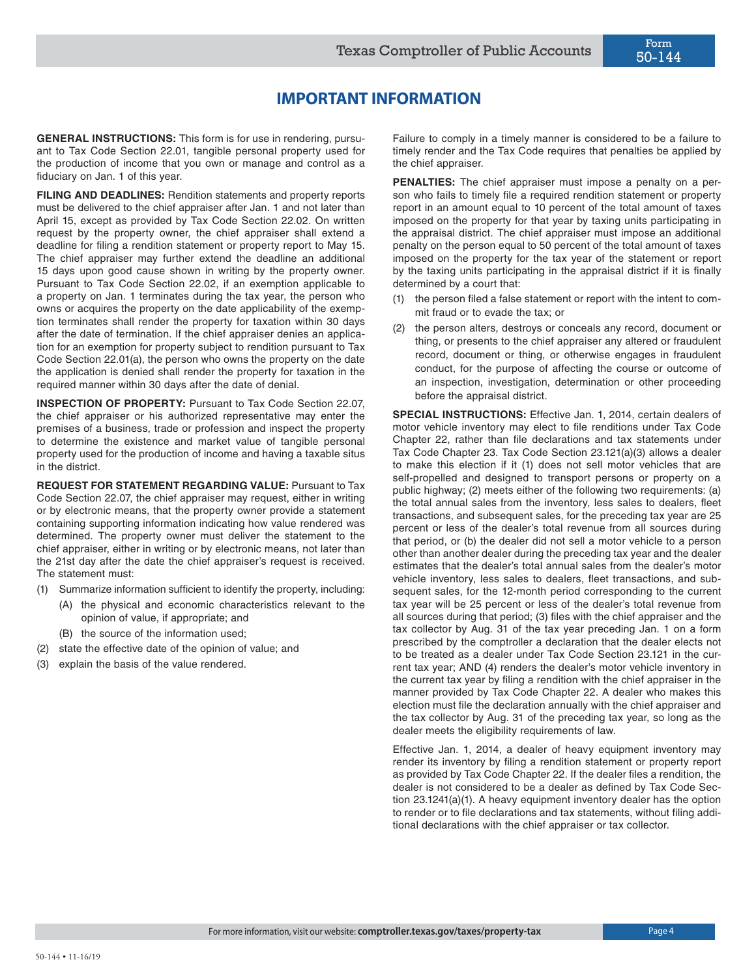# **IMPORTANT INFORMATION**

**GENERAL INSTRUCTIONS:** This form is for use in rendering, pursuant to Tax Code Section 22.01, tangible personal property used for the production of income that you own or manage and control as a fiduciary on Jan. 1 of this year.

**FILING AND DEADLINES:** Rendition statements and property reports must be delivered to the chief appraiser after Jan. 1 and not later than April 15, except as provided by Tax Code Section 22.02. On written request by the property owner, the chief appraiser shall extend a deadline for filing a rendition statement or property report to May 15. The chief appraiser may further extend the deadline an additional 15 days upon good cause shown in writing by the property owner. Pursuant to Tax Code Section 22.02, if an exemption applicable to a property on Jan. 1 terminates during the tax year, the person who owns or acquires the property on the date applicability of the exemption terminates shall render the property for taxation within 30 days after the date of termination. If the chief appraiser denies an application for an exemption for property subject to rendition pursuant to Tax Code Section 22.01(a), the person who owns the property on the date the application is denied shall render the property for taxation in the required manner within 30 days after the date of denial.

**INSPECTION OF PROPERTY:** Pursuant to Tax Code Section 22.07, the chief appraiser or his authorized representative may enter the premises of a business, trade or profession and inspect the property to determine the existence and market value of tangible personal property used for the production of income and having a taxable situs in the district.

**REQUEST FOR STATEMENT REGARDING VALUE:** Pursuant to Tax Code Section 22.07, the chief appraiser may request, either in writing or by electronic means, that the property owner provide a statement containing supporting information indicating how value rendered was determined. The property owner must deliver the statement to the chief appraiser, either in writing or by electronic means, not later than the 21st day after the date the chief appraiser's request is received. The statement must:

- (1) Summarize information sufficient to identify the property, including:
	- (A) the physical and economic characteristics relevant to the opinion of value, if appropriate; and
		- (B) the source of the information used;
- (2) state the effective date of the opinion of value; and
- (3) explain the basis of the value rendered.

Failure to comply in a timely manner is considered to be a failure to timely render and the Tax Code requires that penalties be applied by the chief appraiser.

**PENALTIES:** The chief appraiser must impose a penalty on a person who fails to timely file a required rendition statement or property report in an amount equal to 10 percent of the total amount of taxes imposed on the property for that year by taxing units participating in the appraisal district. The chief appraiser must impose an additional penalty on the person equal to 50 percent of the total amount of taxes imposed on the property for the tax year of the statement or report by the taxing units participating in the appraisal district if it is finally determined by a court that:

- (1) the person filed a false statement or report with the intent to commit fraud or to evade the tax; or
- (2) the person alters, destroys or conceals any record, document or thing, or presents to the chief appraiser any altered or fraudulent record, document or thing, or otherwise engages in fraudulent conduct, for the purpose of affecting the course or outcome of an inspection, investigation, determination or other proceeding before the appraisal district.

**SPECIAL INSTRUCTIONS:** Effective Jan. 1, 2014, certain dealers of motor vehicle inventory may elect to file renditions under Tax Code Chapter 22, rather than file declarations and tax statements under Tax Code Chapter 23. Tax Code Section 23.121(a)(3) allows a dealer to make this election if it (1) does not sell motor vehicles that are self-propelled and designed to transport persons or property on a public highway; (2) meets either of the following two requirements: (a) the total annual sales from the inventory, less sales to dealers, fleet transactions, and subsequent sales, for the preceding tax year are 25 percent or less of the dealer's total revenue from all sources during that period, or (b) the dealer did not sell a motor vehicle to a person other than another dealer during the preceding tax year and the dealer estimates that the dealer's total annual sales from the dealer's motor vehicle inventory, less sales to dealers, fleet transactions, and subsequent sales, for the 12-month period corresponding to the current tax year will be 25 percent or less of the dealer's total revenue from all sources during that period; (3) files with the chief appraiser and the tax collector by Aug. 31 of the tax year preceding Jan. 1 on a form prescribed by the comptroller a declaration that the dealer elects not to be treated as a dealer under Tax Code Section 23.121 in the current tax year; AND (4) renders the dealer's motor vehicle inventory in the current tax year by filing a rendition with the chief appraiser in the manner provided by Tax Code Chapter 22. A dealer who makes this election must file the declaration annually with the chief appraiser and the tax collector by Aug. 31 of the preceding tax year, so long as the dealer meets the eligibility requirements of law.

Effective Jan. 1, 2014, a dealer of heavy equipment inventory may render its inventory by filing a rendition statement or property report as provided by Tax Code Chapter 22. If the dealer files a rendition, the dealer is not considered to be a dealer as defined by Tax Code Section 23.1241(a)(1). A heavy equipment inventory dealer has the option to render or to file declarations and tax statements, without filing additional declarations with the chief appraiser or tax collector.